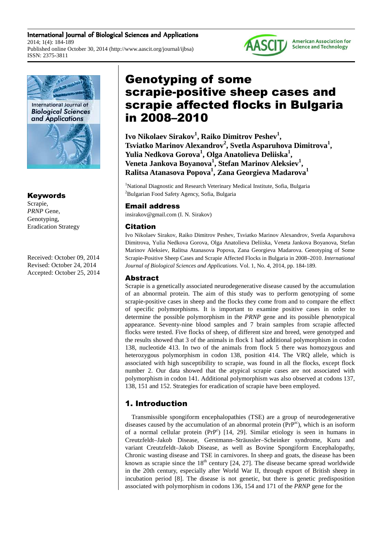International Journal of Biological Sciences and Applications 2014; 1(4): 184-189 Published online October 30, 2014 (http://www.aascit.org/journal/ijbsa) ISSN: 2375-3811



# Keywords

Scrapie, *PRNP* Gene, Genotyping, Eradication Strategy

Received: October 09, 2014 Revised: October 24, 2014 Accepted: October 25, 2014

# Genotyping of some scrapie-positive sheep cases and scrapie affected flocks in Bulgaria in 2008–2010

**Ivo Nikolaev Sirakov<sup>1</sup> , Raiko Dimitrov Peshev<sup>1</sup> , Tsviatko Marinov Alexandrov<sup>2</sup> , Svetla Asparuhova Dimitrova<sup>1</sup> , Yulia Nedkova Gorova<sup>1</sup> , Olga Anatolieva Deliiska<sup>1</sup> , Veneta Jankova Boyanova<sup>1</sup> , Stefan Marinov Aleksiev<sup>1</sup> , Ralitsa Atanasova Popova<sup>1</sup> , Zana Georgieva Madarova<sup>1</sup>**

<sup>1</sup>National Diagnostic and Research Veterinary Medical Institute, Sofia, Bulgaria <sup>2</sup>Bulgarian Food Safety Agency, Sofia, Bulgaria

### Email address

insirakov@gmail.com (I. N. Sirakov)

#### Citation

Ivo Nikolaev Sirakov, Raiko Dimitrov Peshev, Tsviatko Marinov Alexandrov, Svetla Asparuhova Dimitrova, Yulia Nedkova Gorova, Olga Anatolieva Deliiska, Veneta Jankova Boyanova, Stefan Marinov Aleksiev, Ralitsa Atanasova Popova, Zana Georgieva Madarova. Genotyping of Some Scrapie-Positive Sheep Cases and Scrapie Affected Flocks in Bulgaria in 2008–2010. *International Journal of Biological Sciences and Applications.* Vol. 1, No. 4, 2014, pp. 184-189.

# Abstract

Scrapie is a genetically associated neurodegenerative disease caused by the accumulation of an abnormal protein. The aim of this study was to perform genotyping of some scrapie-positive cases in sheep and the flocks they come from and to compare the effect of specific polymorphisms. It is important to examine positive cases in order to determine the possible polymorphism in the *PRNP* gene and its possible phenotypical appearance. Seventy-nine blood samples and 7 brain samples from scrapie affected flocks were tested. Five flocks of sheep, of different size and breed, were genotyped and the results showed that 3 of the animals in flock 1 had additional polymorphism in codon 138, nucleotide 413. In two of the animals from flock 5 there was homozygous and heterozygous polymorphism in codon 138, position 414. The VRQ allele, which is associated with high susceptibility to scrapie, was found in all the flocks, except flock number 2. Our data showed that the atypical scrapie cases are not associated with polymorphism in codon 141. Additional polymorphism was also observed at codons 137, 138, 151 and 152. Strategies for eradication of scrapie have been employed.

# 1. Introduction

Transmissible spongiform encephalopathies (TSE) are a group of neurodegenerative diseases caused by the accumulation of an abnormal protein  $(PP^{sc})$ , which is an isoform of a normal cellular protein (PrP<sup>c</sup>) [14, 29]. Similar etiology is seen in humans in Creutzfeldt–Jakob Disease, Gerstmann–Sträussler–Scheinker syndrome, Kuru and variant Creutzfeldt–Jakob Disease, as well as Bovine Spongiform Encephalopathy, Chronic wasting disease and TSE in carnivores. In sheep and goats, the disease has been known as scrapie since the  $18<sup>th</sup>$  century [24, 27]. The disease became spread worldwide in the 20th century, especially after World War II, through export of British sheep in incubation period [8]. The disease is not genetic, but there is genetic predisposition associated with polymorphism in codons 136, 154 and 171 of the *PRNP* gene for the



**American Association for Science and Technology**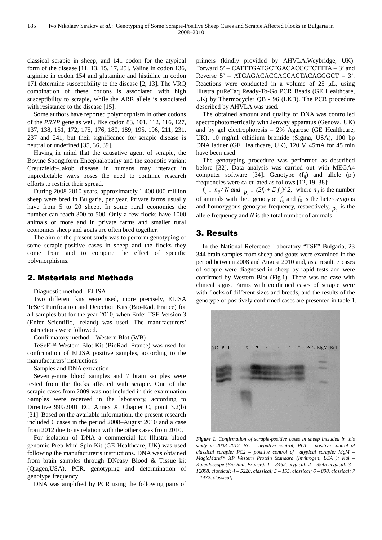classical scrapie in sheep, and 141 codon for the atypical form of the disease [11, 13, 15, 17, 25]. Valine in codon 136, arginine in codon 154 and glutamine and histidine in codon 171 determine susceptibility to the disease [2, 13]. The VRQ combination of these codons is associated with high susceptibility to scrapie, while the ARR allele is associated with resistance to the disease [15].

Some authors have reported polymorphism in other codons of the *PRNP* gene as well, like codon 83, 101, 112, 116, 127, 137, 138, 151, 172, 175, 176, 180, 189, 195, 196, 211, 231, 237 and 241, but their significance for scrapie disease is neutral or undefined [35, 36, 39].

Having in mind that the causative agent of scrapie, the Bovine Spongiform Encephalopathy and the zoonotic variant Creutzfeldt–Jakob disease in humans may interact in unpredictable ways poses the need to continue research efforts to restrict their spread.

During 2008-2010 years, approximately 1 400 000 million sheep were bred in Bulgaria, per year. Private farms usually have from 5 to 20 sheep. In some rural economies the number can reach 300 to 500. Only a few flocks have 1000 animals or more and in private farms and smaller rural economies sheep and goats are often bred together.

The aim of the present study was to perform genotyping of some scrapie-positive cases in sheep and the flocks they come from and to compare the effect of specific polymorphisms.

# 2. Materials and Methods

Diagnostic method - ELISA

Two different kits were used, more precisely, ELISA TeSeE Purification and Detection Kits (Bio-Rad, France) for all samples but for the year 2010, when Enfer TSE Version 3 (Enfer Scientific, Ireland) was used. The manufacturers' instructions were followed.

#### Confirmatory method – Western Blot (WB)

TeSeE™ Western Blot Kit (BioRad, France) was used for confirmation of ELISA positive samples, according to the manufacturers' instructions.

Samples and DNA extraction

Seventy-nine blood samples and 7 brain samples were tested from the flocks affected with scrapie. One of the scrapie cases from 2009 was not included in this examination. Samples were received in the laboratory, according to Directive 999/2001 EC, Annex X, Chapter C, point 3.2(b) [31]. Based on the available information, the present research included 6 cases in the period 2008–August 2010 and a case from 2012 due to its relation with the other cases from 2010.

For isolation of DNA a commercial kit Illustra blood genomic Prep Mini Spin Kit (GE Healthcare, UK) was used following the manufacturer's instructions. DNA was obtained from brain samples through DNeasy Blood & Tissue kit (Qiagen,USA). PCR, genotyping and determination of genotype frequency

DNA was amplified by PCR using the following pairs of

primers (kindly provided by AHVLA,Weybridge, UK): Forward 5' – CATTTGATGCTGACACCCTCTTTA – 3' and Reverse 5' – ATGAGACACCACCACTACAGGGCT – 3'. Reactions were conducted in a volume of  $25 \mu L$ , using Illustra puReTaq Ready-To-Go PCR Beads (GE Healthcare, UK) by Thermocycler QB - 96 (LKB). The PCR procedure described by AHVLA was used.

The obtained amount and quality of DNA was controlled spectrophotometrically with Jenway apparatus (Genova, UK) and by gel electrophoresis – 2% Agarose (GE Healthcare, UK), 10 mg/ml ethidium bromide (Sigma, USA), 100 bp DNA ladder (GE Healthcare, UK), 120 V, 45mA for 45 min have been used.

The genotyping procedure was performed as described before [32]. Data analysis was carried out with MEGA4 computer software [34]. Genotype  $(f_{ij})$  and allele  $(p_i)$ frequencies were calculated as follows [12, 19, 38]:

 $f_{ij} = n_{ij} / N$  and  $p_i = (2f_{ii} + \Sigma f_{ij})/2$ , where  $n_{ij}$  is the number of animals with the  $_{ij}$  genotype,  $f_{ij}$  and  $f_{ii}$  is the heterozygous and homozygous genotype frequency, respectively,  $p_i$  is the allele frequency and *N* is the total number of animals.

# 3. Results

In the National Reference Laboratory "TSE" Bulgaria, 23 344 brain samples from sheep and goats were examined in the period between 2008 and August 2010 and, as a result, 7 cases of scrapie were diagnosed in sheep by rapid tests and were confirmed by Western Blot (Fig.1). There was no case with clinical signs. Farms with confirmed cases of scrapie were with flocks of different sizes and breeds, and the results of the genotype of positively confirmed cases are presented in table 1.



*Figure 1. Confirmation of scrapie-positive cases in sheep included in this study in 2008–2012. NC – negative control; PC1 – positive control of classical scrapie; PC2 – positive control of atypical scrapie; MgM – MagicMark™ XP Western Protein Standard (Invitrogen, USA ); Kal – Kaleidoscope (Bio-Rad, France); 1 – 3462, atypical; 2 – 9545 atypical; 3 – 12098, classical; 4 – 5220, classical; 5 – 155, classical; 6 – 808, classical; 7 – 1472, classical;*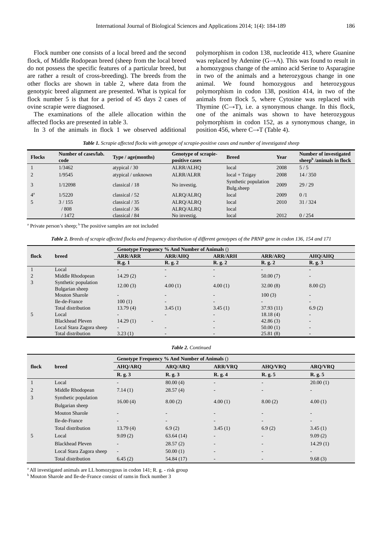Flock number one consists of a local breed and the second flock, of Middle Rodopean breed (sheep from the local breed do not possess the specific features of a particular breed, but are rather a result of cross-breeding). The breeds from the other flocks are shown in table 2, where data from the genotypic breed alignment are presented. What is typical for flock number 5 is that for a period of 45 days 2 cases of ovine scrapie were diagnosed.

The examinations of the allele allocation within the affected flocks are presented in table 3.

In 3 of the animals in flock 1 we observed additional

polymorphism in codon 138, nucleotide 413, where Guanine was replaced by Adenine (G→A). This was found to result in a homozygous change of the amino acid Serine to Asparagine in two of the animals and a heterozygous change in one animal. We found homozygous and heterozygous polymorphism in codon 138, position 414, in two of the animals from flock 5, where Cytosine was replaced with Thymine  $(C \rightarrow T)$ , i.e. a synonymous change. In this flock, one of the animals was shown to have heterozygous polymorphism in codon 152, as a synonymous change, in position 456, where  $C \rightarrow T$  (Table 4).

|  |  |  |  |  |  |  |  | Table 1. Scrapie affected flocks with genotype of scrapie-positive cases and number of investigated sheep |
|--|--|--|--|--|--|--|--|-----------------------------------------------------------------------------------------------------------|
|--|--|--|--|--|--|--|--|-----------------------------------------------------------------------------------------------------------|

| <b>Flocks</b>  | Number of cases/lab.<br>code | Type / age (months) | Genotype of scrapie-<br>positive cases | <b>Breed</b>                       | Year | Number of investigated<br>sheep $b$ /animals in flock |
|----------------|------------------------------|---------------------|----------------------------------------|------------------------------------|------|-------------------------------------------------------|
|                | 1/3462                       | atypical / 30       | ALRR/ALHO                              | local                              | 2008 | 5/5                                                   |
| $\overline{c}$ | 1/9545                       | atypical / unknown  | <b>ALRR/ALRR</b>                       | $local + Tzigay$                   | 2008 | 14/350                                                |
| 3              | 1/12098                      | classical $/18$     | No investig.                           | Synthetic population<br>Bulg.sheep | 2009 | 29/29                                                 |
| $4^a$          | 1/5220                       | classical / 52      | ALRO/ALRO                              | local                              | 2009 | 0/1                                                   |
| 5              | 3/155                        | classical $/35$     | ALRO/ALRO                              | local                              | 2010 | 31/324                                                |
|                | / 808                        | classical $/36$     | ALRQ/ALRQ                              | local                              |      |                                                       |
|                | / 1472                       | classical / 84      | No investig.                           | local                              | 2012 | 0/254                                                 |

<sup>a</sup> Private person's sheep; <sup>b</sup> The positive samples are not included

*Тable 2. Breeds of scrapie affected flocks and frequency distribution of different genotypes of the PRNP* g*ene in codon 136, 154 and 171* 

|       |                                         | <b>Genotype Frequency % And Number of Animals ()</b> |                              |                          |                          |                          |  |
|-------|-----------------------------------------|------------------------------------------------------|------------------------------|--------------------------|--------------------------|--------------------------|--|
| flock | <b>breed</b>                            | <b>ARR/ARR</b>                                       | <b>ARR/AHO</b>               | <b>ARR/ARH</b>           | <b>ARR/ARO</b>           | <b>AHO/AHO</b>           |  |
|       |                                         | R.g. 1                                               | R. g. 2                      | R. g. 2                  | R. g. 2                  | R. g. 3                  |  |
|       | Local                                   | $\qquad \qquad$                                      | -                            | $\overline{\phantom{0}}$ | $\overline{\phantom{0}}$ | -                        |  |
| 2     | Middle Rhodopean                        | 14.29(2)                                             | $\qquad \qquad \blacksquare$ | $\overline{\phantom{0}}$ | 50.00(7)                 | $\overline{\phantom{a}}$ |  |
| 3     | Synthetic population<br>Bulgarian sheep | 12.00(3)                                             | 4.00(1)                      | 4.00(1)                  | 32.00(8)                 | 8.00(2)                  |  |
|       | <b>Mouton Sharole</b>                   | $\overline{\phantom{a}}$                             | $\overline{\phantom{0}}$     |                          | 100(3)                   | -                        |  |
|       | Ile-de-France                           | 100(1)                                               | $\overline{\phantom{a}}$     | $\overline{\phantom{0}}$ | $\overline{\phantom{a}}$ | $\overline{\phantom{a}}$ |  |
|       | Total distribution                      | 13.79(4)                                             | 3.45(1)                      | 3.45(1)                  | 37.93(11)                | 6.9(2)                   |  |
| 5     | Local                                   | $\overline{\phantom{a}}$                             | $\overline{\phantom{a}}$     | -                        | 18.18(4)                 | $\overline{\phantom{a}}$ |  |
|       | <b>Blackhead Pleven</b>                 | 14.29(1)<br>$\overline{\phantom{a}}$                 |                              | $\overline{\phantom{0}}$ | 42.86(3)                 | $\overline{\phantom{0}}$ |  |
|       | Local Stara Zagora sheep                | $\overline{\phantom{a}}$                             | $\qquad \qquad \blacksquare$ | $\overline{\phantom{0}}$ | 50.00(1)                 | $\overline{\phantom{a}}$ |  |
|       | Total distribution                      | 3.23(1)                                              | $\overline{\phantom{a}}$     | -                        | 25.81(8)                 | -                        |  |

#### *Тable 2. Continued*

|       |                          | Genotype Frequency % And Number of Animals () |                |                              |                          |                |  |
|-------|--------------------------|-----------------------------------------------|----------------|------------------------------|--------------------------|----------------|--|
| flock | breed                    | <b>AHQ/ARQ</b>                                | <b>ARQ/ARQ</b> | <b>ARR/VRO</b>               | <b>AHQ/VRQ</b>           | <b>ARQ/VRQ</b> |  |
|       |                          | R. g. 3                                       | R. g. 3        | R. g. 4                      | R. g. 5                  | R. g. 5        |  |
|       | Local                    | $\overline{\phantom{a}}$                      | 80.00(4)       | $\overline{\phantom{0}}$     | -                        | 20.00(1)       |  |
| 2     | Middle Rhodopean         | 7.14(1)                                       | 28.57(4)       |                              |                          | ۰.             |  |
| 3     | Synthetic population     | 16.00(4)                                      | 8.00(2)        | 4.00(1)                      | 8.00(2)                  | 4.00(1)        |  |
|       | Bulgarian sheep          |                                               |                |                              |                          |                |  |
|       | <b>Mouton Sharole</b>    | -                                             |                | -                            |                          | ۰.             |  |
|       | Ile-de-France            | $\overline{\phantom{0}}$                      | ۰.             | $\overline{\phantom{a}}$     | $\overline{\phantom{0}}$ | ۰.             |  |
|       | Total distribution       | 13.79(4)                                      | 6.9(2)         | 3.45(1)                      | 6.9(2)                   | 3.45(1)        |  |
| 5     | Local                    | 9.09(2)                                       | 63.64(14)      | $\qquad \qquad \blacksquare$ | -                        | 9.09(2)        |  |
|       | <b>Blackhead Pleven</b>  | $\overline{\phantom{0}}$                      | 28.57(2)       |                              |                          | 14.29(1)       |  |
|       | Local Stara Zagora sheep | $\sim$                                        | 50.00(1)       | $\overline{\phantom{a}}$     |                          | ۰.             |  |
|       | Total distribution       | 6.45(2)                                       | 54.84 (17)     |                              |                          | 9.68(3)        |  |

 $^{\circ}$  All investigated animals are LL homozygous in codon 141; R, g,  $\overline{\phantom{a}}$  - risk group

<sup>b</sup> Mouton Sharole and Ile-de-France consist of rams in flock number 3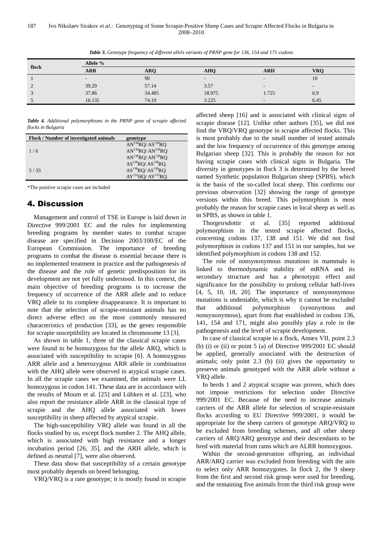| flock              | Allele %                 |            |                          |                          |                          |  |  |
|--------------------|--------------------------|------------|--------------------------|--------------------------|--------------------------|--|--|
|                    | <b>ARR</b>               | <b>ARO</b> | <b>AHO</b>               | <b>ARH</b>               | <b>VRO</b>               |  |  |
|                    | $\overline{\phantom{a}}$ | 90         | $\overline{\phantom{a}}$ | $\overline{\phantom{a}}$ | 10                       |  |  |
| $\mathcal{L}$<br>∠ | 39.29                    | 57.14      | 3.57                     | $\overline{\phantom{0}}$ | $\overline{\phantom{0}}$ |  |  |
| $\sqrt{2}$         | 37.86                    | 34.485     | 18.975                   | 1.725                    | 6.9                      |  |  |
|                    | 16.135                   | 74.19      | 3.225                    | $\overline{\phantom{0}}$ | 6.45                     |  |  |

*Table 3. Genotype frequency of different allels variants of PRNP gene for 136, 154 and 171 codons* 

*Table 4. Additional polymorphisms in the PRNP gene of scrapie affected flocks in Bulgaria* 

| <b>Flock / Number of investigated animals</b> | genotype                                  |
|-----------------------------------------------|-------------------------------------------|
|                                               | $AN^{138}RQ/AS^{138}RQ$                   |
| 1/6                                           | $AN^{138}RQ/AN^{138}RQ$                   |
|                                               | $AN^{138}RO/AN^{138}RO$                   |
|                                               | $AS^{138}RO/AS^{138}RO$                   |
| 5/33                                          | $AS^{138}RO/AS^{138}RO$                   |
|                                               | AY <sup>152</sup> HO/AY <sup>152</sup> RO |

\*The positive scrapie cases are included

## 4. Discussion

Management and control of TSE in Europe is laid down in Directive 999/2001 EC and the rules for implementing breeding programs by member states to combat scrapie disease are specified in Decision 2003/100/EC of the European Commission. The importance of breeding programs to combat the disease is essential because there is no implemented treatment in practice and the pathogenesis of the disease and the role of genetic predisposition for its development are not yet fully understood. In this context, the main objective of breeding programs is to increase the frequency of occurrence of the ARR allele and to reduce VRQ allele to its complete disappearance. It is important to note that the selection of scrapie-resistant animals has no direct adverse effect on the most commonly measured characteristics of production [33], as the genes responsible for scrapie susceptibility are located in chromosome 13 [3].

As shown in table 1, three of the classical scrapie cases were found to be homozygous for the allele ARQ, which is associated with susceptibility to scrapie [6]. A homozygous ARR allele and a heterozygous ARR allele in combination with the AHQ allele were observed in atypical scrapie cases. In all the scrapie cases we examined, the animals were LL homozygous in codon 141. These data are in accordance with the results of Moum et al. [25] and Lühken et al. [23], who also report the resistance allele ARR in the classical type of scrapie and the AHQ allele associated with lower susceptibility in sheep affected by atypical scrapie.

The high-susceptibility VRQ allele was found in all the flocks studied by us, except flock number 2. The AHQ allele, which is associated with high resistance and a longer incubation period [26, 35], and the ARH allele, which is defined as neutral [7], were also observed.

These data show that susceptibility of a certain genotype most probably depends on breed belonging.

VRQ/VRQ is a rare genotype; it is mostly found in scrapie

affected sheep [16] and is associated with clinical signs of scrapie disease [12]. Unlike other authors [35], we did not find the VRQ/VRQ genotype in scrapie affected flocks. This is most probably due to the small number of tested animals and the low frequency of occurrence of this genotype among Bulgarian sheep [32]. This is probably the reason for not having scrapie cases with clinical signs in Bulgaria. The diversity in genotypes in flock 3 is determined by the breed named Synthetic population Bulgarian sheep (SPBS), which is the basis of the so-called local sheep. This confirms our previous observation [32] showing the range of genotype versions within this breed. This polymorphism is most probably the reason for scrapie cases in local sheep as well as in SPBS, as shown in table 1.

Thorgeirsdottir et al. [35] reported additional polymorphism in the tested scrapie affected flocks, concerning codons 137, 138 and 151. We did not find polymorphism in codons 137 and 151 in our samples, but we identified polymorphism in codons 138 and 152.

The role of nonsynonymous mutations in mammals is linked to thermodynamic stability of mRNA and its secondary structure and has a phenotypic effect and significance for the possibility to prolong cellular half-lives [4, 5, 10, 18, 20]. The importance of nonsynonymous mutations is undeniable, which is why it cannot be excluded that additional polymorphism (synonymous and nonsynonymous), apart from that established in codons 136, 141, 154 and 171, might also possibly play a role in the pathogenesis and the level of scrapie development.

In case of classical scrapie in a flock, Annex VII, point 2.3 (b) (i) or (ii) or point 5 (a) of Directive 999/2001 EC should be applied, generally associated with the destruction of animals; only point 2.3 (b) (ii) gives the opportunity to preserve animals genotyped with the ARR allele without a VRQ allele.

In herds 1 and 2 atypical scrapie was proven, which does not impose restrictions for selection under Directive 999/2001 EC. Because of the need to increase animals carriers of the ARR allele for selection of scrapie-resistant flocks according to EU Directive 999/2001, it would be appropriate for the sheep carriers of genotype ARQ/VRQ to be excluded from breeding schemes, and all other sheep carriers of ARQ/ARQ genotype and their descendants to be bred with material from rams which are ALRR homozygous.

Within the second-generation offspring, an individual ARR/ARQ carrier was excluded from breeding with the aim to select only ARR homozygotes. In flock 2, the 9 sheep from the first and second risk group were used for breeding, and the remaining five animals from the third risk group were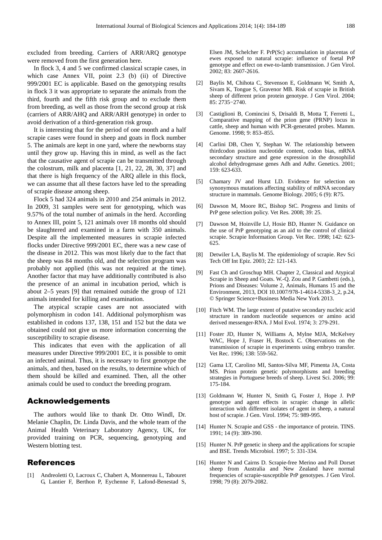excluded from breeding. Carriers of ARR/ARQ genotype were removed from the first generation here.

In flock 3, 4 and 5 we confirmed classical scrapie cases, in which case Annex VII, point 2.3 (b) (ii) of Directive 999/2001 EC is applicable. Based on the genotyping results in flock 3 it was appropriate to separate the animals from the third, fourth and the fifth risk group and to exclude them from breeding, as well as those from the second group at risk (carriers of ARR/AHQ and ARR/ARH genotype) in order to avoid derivation of a third-generation risk group.

It is interesting that for the period of one month and a half scrapie cases were found in sheep and goats in flock number 5. The animals are kept in one yard, where the newborns stay until they grow up. Having this in mind, as well as the fact that the causative agent of scrapie can be transmitted through the colostrum, milk and placenta [1, 21, 22, 28, 30, 37] and that there is high frequency of the ARQ allele in this flock, we can assume that all these factors have led to the spreading of scrapie disease among sheep.

Flock 5 had 324 animals in 2010 and 254 animals in 2012. In 2009, 31 samples were sent for genotyping, which was 9.57% of the total number of animals in the herd. According to Annex III, point 5, 121 animals over 18 months old should be slaughtered and examined in a farm with 350 animals. Despite all the implemented measures in scrapie infected flocks under Directive 999/2001 EC, there was a new case of the disease in 2012. This was most likely due to the fact that the sheep was 84 months old, and the selection program was probably not applied (this was not required at the time). Another factor that may have additionally contributed is also the presence of an animal in incubation period, which is about 2–5 years [9] that remained outside the group of 121 animals intended for killing and examination.

The atypical scrapie cases are not associated with polymorphism in codon 141. Additional polymorphism was established in codons 137, 138, 151 and 152 but the data we obtained could not give us more information concerning the susceptibility to scrapie disease.

This indicates that even with the application of all measures under Directive 999/2001 EC, it is possible to omit an infected animal. Thus, it is necessary to first genotype the animals, and then, based on the results, to determine which of them should be killed and examined. Then, all the other animals could be used to conduct the breeding program.

#### Acknowledgements

The authors would like to thank Dr. Otto Windl, Dr. Melanie Chaplin, Dr. Linda Davis, and the whole team of the Animal Health Veterinary Laboratory Agency, UK, for provided training on PCR, sequencing, genotyping and Western blotting test.

#### References

[1] Andreoletti O, Lacroux C, Chabert A, Monnereau L, Tabouret G, Lantier F, Berthon P, Eychenne F, Lafond-Benestad S,

Elsen JM, Schelcher F. PrP(Sc) accumulation in placentas of ewes exposed to natural scrapie: influence of foetal PrP genotype and effect on ewe-to-lamb transmission. J Gen Virol. 2002; 83: 2607-2616.

- [2] Baylis M, Chihota C, Stevenson E, Goldmann W, Smith A, Sivam K, Tongue S, Gravenor MB. Risk of scrapie in British sheep of different prion protein genotype. J Gen Virol. 2004; 85: 2735−2740.
- [3] Castiglioni B, Comincini S, Drisaldi B, Motta T, Ferretti L, Comparative mapping of the prion gene (PRNP) locus in cattle, sheep and human with PCR-generated probes. Mamm. Genome. 1998; 9: 853–855.
- [4] Carlini DB, Chen Y, Stephan W. The relationship between thirdcodon position nucleotide content, codon bias, mRNA secondary structure and gene expression in the drosophilid alcohol dehydrogenase genes Adh and Adhr. Genetics. 2001; 159: 623-633.
- [5] Chamary JV and Hurst LD. Evidence for selection on synonymous mutations affecting stability of mRNA secondary structure in mammals. Genome Biology. 2005; 6 (9): R75.
- [6] Dawson M, Moore RC, Bishop StC. Progress and limits of PrP gene selection policy. Vet Res. 2008; 39: 25.
- [7] Dawson M, Hoinville LJ, Hosie BD, Hunter N. Guidance on the use of PrP genotyping as an aid to the control of clinical scrapie. Scrapie Information Group. Vet Rec. 1998; 142: 623- 625.
- [8] Detwiler LA, Baylis M. The epidemiology of scrapie. Rev Sci Tech Off Int Epiz. 2003; 22: 121-143.
- [9] Fast Ch and Groschup MH. Chapter 2, Classical and Atypical Scrapie in Sheep and Goats. W.-O. Zou and P. Gambetti (eds.), Prions and Diseases: Volume 2, Animals, Humans 15 and the Environment, 2013, DOI 10.1007/978-1-4614-5338-3\_2, p.24, © Springer Science+Business Media New York 2013.
- [10] Fitch WM. The large extent of putative secondary nucleic acid structure in random nucleotide sequences or amino acid derived messenger-RNA. J Mol Evol. 1974; 3: 279-291.
- [11] Foster JD, Hunter N, Williams A, Mylne MJA, McKelvey WAC, Hope J, Fraser H, Bostock C. Observations on the transmission of scrapie in experiments using embryo transfer. Vet Rec. 1996; 138: 559-562.
- [12] Gama LT, Carolino MI, Santos-Silva MF, Pimenta JA, Costa MS. Prion protein genetic polymorphisms and breeding strategies in Portuguese breeds of sheep. Livest Sci. 2006; 99: 175-184.
- [13] Goldmann W, Hunter N, Smith G, Foster J, Hope J. PrP genotype and agent effects in scrapie: change in allelic interaction with different isolates of agent in sheep, a natural host of scrapie. J Gen. Virol. 1994; 75: 989-995.
- [14] Hunter N. Scrapie and GSS the importance of protein. TINS. 1991; 14 (9): 389-390.
- [15] Hunter N. PrP genetic in sheep and the applications for scrapie and BSE. Trends Microbiol. 1997; 5: 331-334.
- [16] Hunter N and Cairns D. Scrapie-free Merino and Poll Dorset sheep from Australia and New Zealand have normal frequencies of scrapie-susceptible PrP genotypes. J Gen Virol. 1998; 79 (8): 2079-2082.